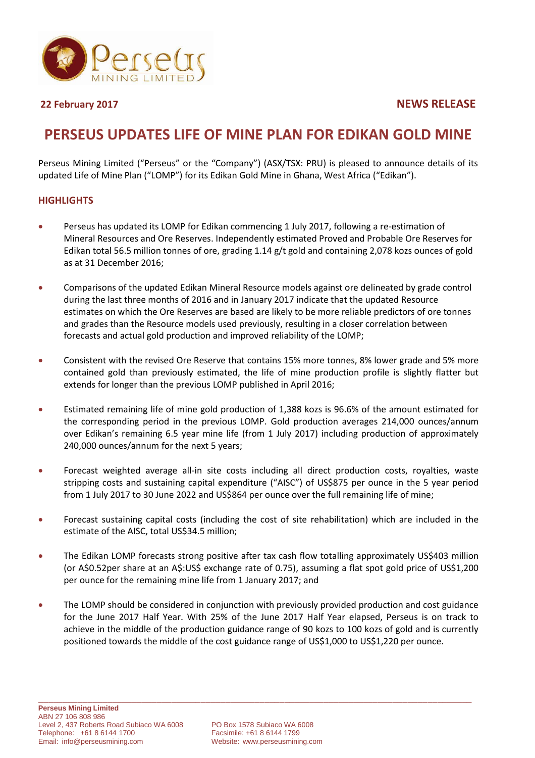

**22 February 2017 NEWS RELEASE**

# **PERSEUS UPDATES LIFE OF MINE PLAN FOR EDIKAN GOLD MINE**

Perseus Mining Limited ("Perseus" or the "Company") (ASX/TSX: PRU) is pleased to announce details of its updated Life of Mine Plan ("LOMP") for its Edikan Gold Mine in Ghana, West Africa ("Edikan").

# **HIGHLIGHTS**

- Perseus has updated its LOMP for Edikan commencing 1 July 2017, following a re-estimation of Mineral Resources and Ore Reserves. Independently estimated Proved and Probable Ore Reserves for Edikan total 56.5 million tonnes of ore, grading 1.14 g/t gold and containing 2,078 kozs ounces of gold as at 31 December 2016;
- Comparisons of the updated Edikan Mineral Resource models against ore delineated by grade control during the last three months of 2016 and in January 2017 indicate that the updated Resource estimates on which the Ore Reserves are based are likely to be more reliable predictors of ore tonnes and grades than the Resource models used previously, resulting in a closer correlation between forecasts and actual gold production and improved reliability of the LOMP;
- Consistent with the revised Ore Reserve that contains 15% more tonnes, 8% lower grade and 5% more contained gold than previously estimated, the life of mine production profile is slightly flatter but extends for longer than the previous LOMP published in April 2016;
- Estimated remaining life of mine gold production of 1,388 kozs is 96.6% of the amount estimated for the corresponding period in the previous LOMP. Gold production averages 214,000 ounces/annum over Edikan's remaining 6.5 year mine life (from 1 July 2017) including production of approximately 240,000 ounces/annum for the next 5 years;
- Forecast weighted average all-in site costs including all direct production costs, royalties, waste stripping costs and sustaining capital expenditure ("AISC") of US\$875 per ounce in the 5 year period from 1 July 2017 to 30 June 2022 and US\$864 per ounce over the full remaining life of mine;
- Forecast sustaining capital costs (including the cost of site rehabilitation) which are included in the estimate of the AISC, total US\$34.5 million;
- The Edikan LOMP forecasts strong positive after tax cash flow totalling approximately US\$403 million (or A\$0.52per share at an A\$:US\$ exchange rate of 0.75), assuming a flat spot gold price of US\$1,200 per ounce for the remaining mine life from 1 January 2017; and
- The LOMP should be considered in conjunction with previously provided production and cost guidance for the June 2017 Half Year. With 25% of the June 2017 Half Year elapsed, Perseus is on track to achieve in the middle of the production guidance range of 90 kozs to 100 kozs of gold and is currently positioned towards the middle of the cost guidance range of US\$1,000 to US\$1,220 per ounce.

\_\_\_\_\_\_\_\_\_\_\_\_\_\_\_\_\_\_\_\_\_\_\_\_\_\_\_\_\_\_\_\_\_\_\_\_\_\_\_\_\_\_\_\_\_\_\_\_\_\_\_\_\_\_\_\_\_\_\_\_\_\_\_\_\_\_\_\_\_\_\_\_\_\_\_\_\_\_\_\_\_\_\_\_\_\_\_\_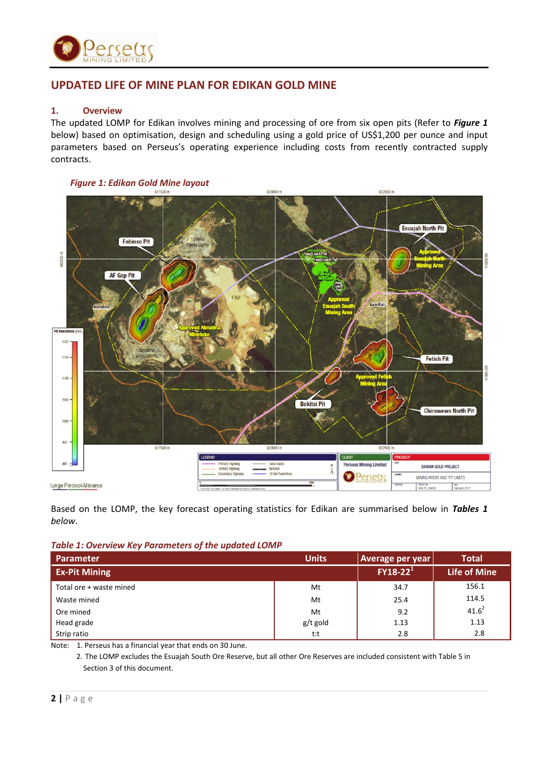

# **UPDATED LIFE OF MINE PLAN FOR EDIKAN GOLD MINE**

# **1. Overview**

The updated LOMP for Edikan involves mining and processing of ore from six open pits (Refer to *Figure 1* below) based on optimisation, design and scheduling using a gold price of US\$1,200 per ounce and input parameters based on Perseus's operating experience including costs from recently contracted supply contracts.



*Figure 1: Edikan Gold Mine layout*

Based on the LOMP, the key forecast operating statistics for Edikan are summarised below in *Tables 1 below*.

|  |  | Table 1: Overview Key Parameters of the updated LOMP |
|--|--|------------------------------------------------------|
|--|--|------------------------------------------------------|

| <b>Parameter</b>        | <b>Units</b> | Average per year | <b>Total</b>        |
|-------------------------|--------------|------------------|---------------------|
| <b>Ex-Pit Mining</b>    |              | $FY18-22^1$      | <b>Life of Mine</b> |
| Total ore + waste mined | Mt           | 34.7             | 156.1               |
| Waste mined             | Mt           | 25.4             | 114.5               |
| Ore mined               | Mt           | 9.2              | $41.6^2$            |
| Head grade              | g/t gold     | 1.13             | 1.13                |
| Strip ratio             | t:t          | 2.8              | 2.8                 |

Note: 1. Perseus has a financial year that ends on 30 June.

2. The LOMP excludes the Esuajah South Ore Reserve, but all other Ore Reserves are included consistent with Table 5 in Section 3 of this document.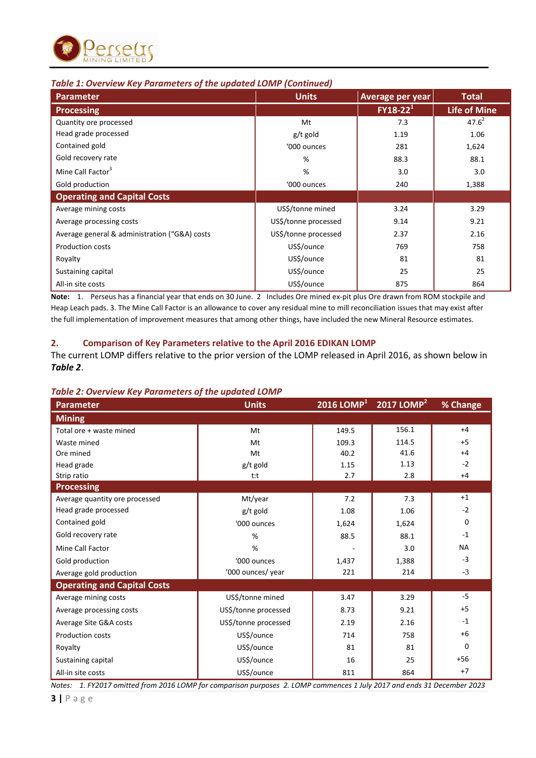

# *Table 1: Overview Key Parameters of the updated LOMP (Continued)*

| <b>Parameter</b>                              | <b>Units</b>         | Average per year | <b>Total</b>        |
|-----------------------------------------------|----------------------|------------------|---------------------|
| <b>Processing</b>                             |                      | $FY18-22^1$      | <b>Life of Mine</b> |
| Quantity ore processed                        | Mt                   | 7.3              | $47.6^{2}$          |
| Head grade processed                          | g/t gold             | 1.19             | 1.06                |
| Contained gold                                | '000 ounces          | 281              | 1,624               |
| Gold recovery rate                            | %                    | 88.3             | 88.1                |
| Mine Call Factor <sup>3</sup>                 | %                    | 3.0              | 3.0                 |
| Gold production                               | '000 ounces          | 240              | 1,388               |
| <b>Operating and Capital Costs</b>            |                      |                  |                     |
| Average mining costs                          | US\$/tonne mined     | 3.24             | 3.29                |
| Average processing costs                      | US\$/tonne processed | 9.14             | 9.21                |
| Average general & administration ("G&A) costs | US\$/tonne processed | 2.37             | 2.16                |
| <b>Production costs</b>                       | US\$/ounce           | 769              | 758                 |
| Royalty                                       | US\$/ounce           | 81               | 81                  |
| Sustaining capital                            | US\$/ounce           | 25               | 25                  |
| All-in site costs                             | US\$/ounce           | 875              | 864                 |

**Note:** 1. Perseus has a financial year that ends on 30 June. 2 Includes Ore mined ex-pit plus Ore drawn from ROM stockpile and Heap Leach pads. 3. The Mine Call Factor is an allowance to cover any residual mine to mill reconciliation issues that may exist after the full implementation of improvement measures that among other things, have included the new Mineral Resource estimates.

# **2. Comparison of Key Parameters relative to the April 2016 EDIKAN LOMP**

The current LOMP differs relative to the prior version of the LOMP released in April 2016, as shown below in *Table 2*.

# *Table 2: Overview Key Parameters of the updated LOMP*

| <b>Parameter</b>                   | <b>Units</b>         | $2016$ LOMP <sup>1</sup> | 2017 LOMP $2$ | % Change  |
|------------------------------------|----------------------|--------------------------|---------------|-----------|
| <b>Mining</b>                      |                      |                          |               |           |
| Total ore + waste mined            | Mt                   | 149.5                    | 156.1         | $+4$      |
| Waste mined                        | Mt                   | 109.3                    | 114.5         | $+5$      |
| Ore mined                          | Mt                   | 40.2                     | 41.6          | $+4$      |
| Head grade                         | $g/t$ gold           | 1.15                     | 1.13          | $-2$      |
| Strip ratio                        | t:t                  | 2.7                      | 2.8           | $+4$      |
| <b>Processing</b>                  |                      |                          |               |           |
| Average quantity ore processed     | Mt/year              | 7.2                      | 7.3           | $+1$      |
| Head grade processed               | g/t gold             | 1.08                     | 1.06          | $-2$      |
| Contained gold                     | '000 ounces          | 1,624                    | 1,624         | $\Omega$  |
| Gold recovery rate                 | %                    | 88.5                     | 88.1          | $-1$      |
| Mine Call Factor                   | %                    |                          | 3.0           | <b>NA</b> |
| Gold production                    | '000 ounces          | 1,437                    | 1,388         | $-3$      |
| Average gold production            | '000 ounces/ year    | 221                      | 214           | $-3$      |
| <b>Operating and Capital Costs</b> |                      |                          |               |           |
| Average mining costs               | US\$/tonne mined     | 3.47                     | 3.29          | $-5$      |
| Average processing costs           | US\$/tonne processed | 8.73                     | 9.21          | $+5$      |
| Average Site G&A costs             | US\$/tonne processed | 2.19                     | 2.16          | $-1$      |
| <b>Production costs</b>            | US\$/ounce           | 714                      | 758           | $+6$      |
| Royalty                            | US\$/ounce           | 81                       | 81            | $\Omega$  |
| Sustaining capital                 | US\$/ounce           | 16                       | 25            | $+56$     |
| All-in site costs                  | US\$/ounce           | 811                      | 864           | $+7$      |

*Notes: 1. FY2017 omitted from 2016 LOMP for comparison purposes 2. LOMP commences 1 July 2017 and ends 31 December 2023*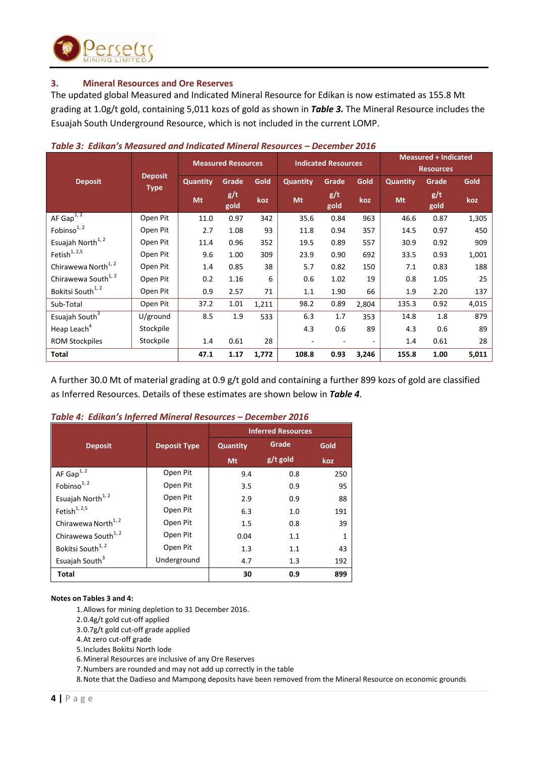

# **3. Mineral Resources and Ore Reserves**

The updated global Measured and Indicated Mineral Resource for Edikan is now estimated as 155.8 Mt grading at 1.0g/t gold, containing 5,011 kozs of gold as shown in *Table 3.* The Mineral Resource includes the Esuajah South Underground Resource, which is not included in the current LOMP.

|                                 |                               | <b>Measured + Indicated</b><br><b>Indicated Resources</b><br><b>Measured Resources</b> |             |       |                 |             |       |                 |                  |       |
|---------------------------------|-------------------------------|----------------------------------------------------------------------------------------|-------------|-------|-----------------|-------------|-------|-----------------|------------------|-------|
|                                 |                               |                                                                                        |             |       |                 |             |       |                 | <b>Resources</b> |       |
| <b>Deposit</b>                  | <b>Deposit</b><br><b>Type</b> | <b>Quantity</b>                                                                        | Grade       | Gold  | <b>Quantity</b> | Grade       | Gold  | <b>Quantity</b> | Grade            | Gold  |
|                                 |                               | Mt                                                                                     | g/t<br>gold | koz   | Mt              | g/t<br>gold | koz   | Mt              | g/t<br>gold      | koz   |
| AF $Gap1, 2$                    | Open Pit                      | 11.0                                                                                   | 0.97        | 342   | 35.6            | 0.84        | 963   | 46.6            | 0.87             | 1,305 |
| Fobinso <sup>1, 2</sup>         | Open Pit                      | 2.7                                                                                    | 1.08        | 93    | 11.8            | 0.94        | 357   | 14.5            | 0.97             | 450   |
| Esuajah North <sup>1, 2</sup>   | Open Pit                      | 11.4                                                                                   | 0.96        | 352   | 19.5            | 0.89        | 557   | 30.9            | 0.92             | 909   |
| Fetish $^{1, 2, 5}$             | Open Pit                      | 9.6                                                                                    | 1.00        | 309   | 23.9            | 0.90        | 692   | 33.5            | 0.93             | 1,001 |
| Chirawewa North <sup>1, 2</sup> | Open Pit                      | 1.4                                                                                    | 0.85        | 38    | 5.7             | 0.82        | 150   | 7.1             | 0.83             | 188   |
| Chirawewa South <sup>1, 2</sup> | Open Pit                      | 0.2                                                                                    | 1.16        | 6     | 0.6             | 1.02        | 19    | 0.8             | 1.05             | 25    |
| Bokitsi South <sup>1,2</sup>    | Open Pit                      | 0.9                                                                                    | 2.57        | 71    | 1.1             | 1.90        | 66    | 1.9             | 2.20             | 137   |
| Sub-Total                       | Open Pit                      | 37.2                                                                                   | 1.01        | 1,211 | 98.2            | 0.89        | 2,804 | 135.3           | 0.92             | 4,015 |
| Esuajah South <sup>3</sup>      | U/ground                      | 8.5                                                                                    | 1.9         | 533   | 6.3             | 1.7         | 353   | 14.8            | 1.8              | 879   |
| Heap Leach <sup>4</sup>         | Stockpile                     |                                                                                        |             |       | 4.3             | 0.6         | 89    | 4.3             | 0.6              | 89    |
| <b>ROM Stockpiles</b>           | Stockpile                     | 1.4                                                                                    | 0.61        | 28    |                 |             |       | 1.4             | 0.61             | 28    |
| Total                           |                               | 47.1                                                                                   | 1.17        | 1,772 | 108.8           | 0.93        | 3,246 | 155.8           | 1.00             | 5,011 |

### *Table 3: Edikan's Measured and Indicated Mineral Resources – December 2016*

A further 30.0 Mt of material grading at 0.9 g/t gold and containing a further 899 kozs of gold are classified as Inferred Resources. Details of these estimates are shown below in *Table 4*.

| Table 4: Edikan's Inferred Mineral Resources - December 2016 |  |  |
|--------------------------------------------------------------|--|--|
|                                                              |  |  |

|                                 |                     |                 | <b>Inferred Resources</b> |      |
|---------------------------------|---------------------|-----------------|---------------------------|------|
| <b>Deposit</b>                  | <b>Deposit Type</b> | <b>Quantity</b> | Grade                     | Gold |
|                                 |                     | <b>Mt</b>       | $g/t$ gold                | koz  |
| AF $Gap1, 2$                    | Open Pit            | 9.4             | 0.8                       | 250  |
| Fobinso <sup>1, 2</sup>         | Open Pit            | 3.5             | 0.9                       | 95   |
| Esuajah North <sup>1, 2</sup>   | Open Pit            | 2.9             | 0.9                       | 88   |
| Fetish <sup>1, 2,5</sup>        | Open Pit            | 6.3             | 1.0                       | 191  |
| Chirawewa North <sup>1, 2</sup> | Open Pit            | 1.5             | 0.8                       | 39   |
| Chirawewa South <sup>1, 2</sup> | Open Pit            | 0.04            | 1.1                       |      |
| Bokitsi South <sup>1,2</sup>    | Open Pit            | 1.3             | 1.1                       | 43   |
| Esuajah South <sup>3</sup>      | Underground         | 4.7             | 1.3                       | 192  |
| <b>Total</b>                    |                     | 30              | 0.9                       | 899  |

#### **Notes on Tables 3 and 4:**

- 1.Allows for mining depletion to 31 December 2016.
- 2.0.4g/t gold cut-off applied
- 3.0.7g/t gold cut-off grade applied
- 4.At zero cut-off grade
- 5.Includes Bokitsi North lode
- 6.Mineral Resources are inclusive of any Ore Reserves
- 7.Numbers are rounded and may not add up correctly in the table

8.Note that the Dadieso and Mampong deposits have been removed from the Mineral Resource on economic grounds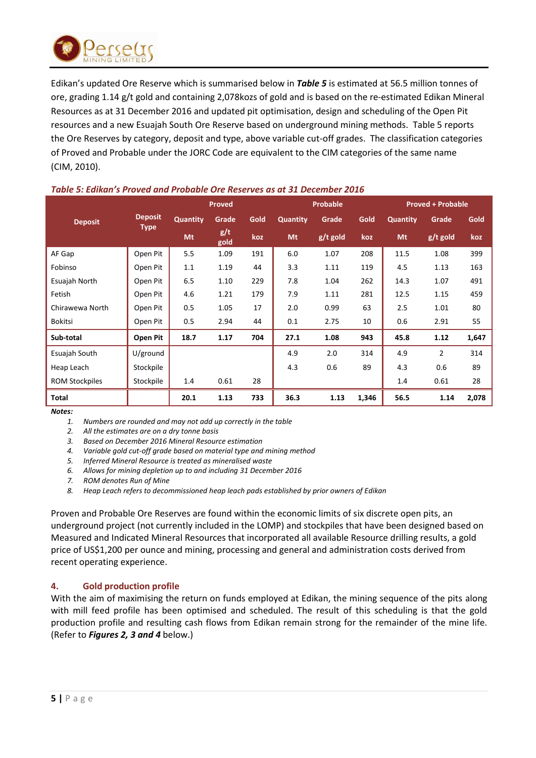

Edikan's updated Ore Reserve which is summarised below in *Table 5* is estimated at 56.5 million tonnes of ore, grading 1.14 g/t gold and containing 2,078kozs of gold and is based on the re-estimated Edikan Mineral Resources as at 31 December 2016 and updated pit optimisation, design and scheduling of the Open Pit resources and a new Esuajah South Ore Reserve based on underground mining methods. Table 5 reports the Ore Reserves by category, deposit and type, above variable cut-off grades. The classification categories of Proved and Probable under the JORC Code are equivalent to the CIM categories of the same name (CIM, 2010).

|                       |                |                 | <b>Proved</b> |      |          | <b>Probable</b> |       |          | <b>Proved + Probable</b> |       |
|-----------------------|----------------|-----------------|---------------|------|----------|-----------------|-------|----------|--------------------------|-------|
| <b>Deposit</b>        | <b>Deposit</b> | <b>Quantity</b> | Grade         | Gold | Quantity | Grade           | Gold  | Quantity | Grade                    | Gold  |
|                       | <b>Type</b>    | Mt              | g/t<br>gold   | koz  | Mt       | $g/t$ gold      | koz   | Mt       | $g/t$ gold               | koz   |
| AF Gap                | Open Pit       | 5.5             | 1.09          | 191  | 6.0      | 1.07            | 208   | 11.5     | 1.08                     | 399   |
| Fobinso               | Open Pit       | 1.1             | 1.19          | 44   | 3.3      | 1.11            | 119   | 4.5      | 1.13                     | 163   |
| Esuajah North         | Open Pit       | 6.5             | 1.10          | 229  | 7.8      | 1.04            | 262   | 14.3     | 1.07                     | 491   |
| Fetish                | Open Pit       | 4.6             | 1.21          | 179  | 7.9      | 1.11            | 281   | 12.5     | 1.15                     | 459   |
| Chirawewa North       | Open Pit       | 0.5             | 1.05          | 17   | 2.0      | 0.99            | 63    | 2.5      | 1.01                     | 80    |
| <b>Bokitsi</b>        | Open Pit       | 0.5             | 2.94          | 44   | 0.1      | 2.75            | 10    | 0.6      | 2.91                     | 55    |
| Sub-total             | Open Pit       | 18.7            | 1.17          | 704  | 27.1     | 1.08            | 943   | 45.8     | 1.12                     | 1,647 |
| Esuajah South         | U/ground       |                 |               |      | 4.9      | 2.0             | 314   | 4.9      | $\overline{2}$           | 314   |
| Heap Leach            | Stockpile      |                 |               |      | 4.3      | 0.6             | 89    | 4.3      | 0.6                      | 89    |
| <b>ROM Stockpiles</b> | Stockpile      | 1.4             | 0.61          | 28   |          |                 |       | 1.4      | 0.61                     | 28    |
| <b>Total</b>          |                | 20.1            | 1.13          | 733  | 36.3     | 1.13            | 1,346 | 56.5     | 1.14                     | 2,078 |

# *Table 5: Edikan's Proved and Probable Ore Reserves as at 31 December 2016*

*Notes:*

*1. Numbers are rounded and may not add up correctly in the table*

*2. All the estimates are on a dry tonne basis*

*3. Based on December 2016 Mineral Resource estimation*

*4. Variable gold cut-off grade based on material type and mining method*

*5. Inferred Mineral Resource is treated as mineralised waste*

*6. Allows for mining depletion up to and including 31 December 2016*

*7. ROM denotes Run of Mine*

*8. Heap Leach refers to decommissioned heap leach pads established by prior owners of Edikan*

Proven and Probable Ore Reserves are found within the economic limits of six discrete open pits, an underground project (not currently included in the LOMP) and stockpiles that have been designed based on Measured and Indicated Mineral Resources that incorporated all available Resource drilling results, a gold price of US\$1,200 per ounce and mining, processing and general and administration costs derived from recent operating experience.

# **4. Gold production profile**

With the aim of maximising the return on funds employed at Edikan, the mining sequence of the pits along with mill feed profile has been optimised and scheduled. The result of this scheduling is that the gold production profile and resulting cash flows from Edikan remain strong for the remainder of the mine life. (Refer to *Figures 2, 3 and 4* below.)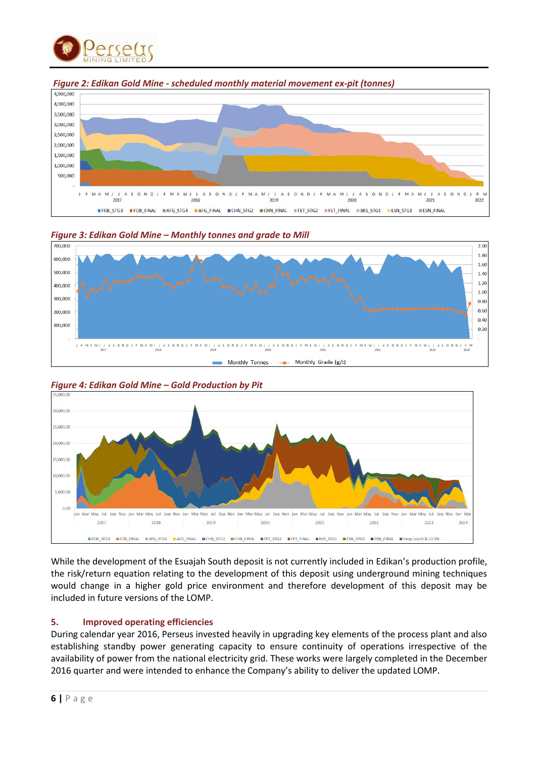







*Figure 3: Edikan Gold Mine – Monthly tonnes and grade to Mill*



*Figure 4: Edikan Gold Mine – Gold Production by Pit*

While the development of the Esuajah South deposit is not currently included in Edikan's production profile, the risk/return equation relating to the development of this deposit using underground mining techniques would change in a higher gold price environment and therefore development of this deposit may be included in future versions of the LOMP.

# **5. Improved operating efficiencies**

During calendar year 2016, Perseus invested heavily in upgrading key elements of the process plant and also establishing standby power generating capacity to ensure continuity of operations irrespective of the availability of power from the national electricity grid. These works were largely completed in the December 2016 quarter and were intended to enhance the Company's ability to deliver the updated LOMP.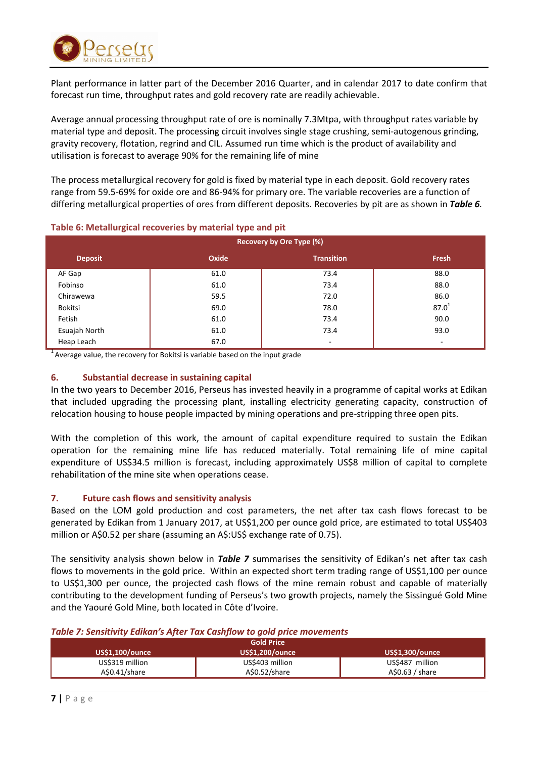

Plant performance in latter part of the December 2016 Quarter, and in calendar 2017 to date confirm that forecast run time, throughput rates and gold recovery rate are readily achievable.

Average annual processing throughput rate of ore is nominally 7.3Mtpa, with throughput rates variable by material type and deposit. The processing circuit involves single stage crushing, semi-autogenous grinding, gravity recovery, flotation, regrind and CIL. Assumed run time which is the product of availability and utilisation is forecast to average 90% for the remaining life of mine

The process metallurgical recovery for gold is fixed by material type in each deposit. Gold recovery rates range from 59.5-69% for oxide ore and 86-94% for primary ore. The variable recoveries are a function of differing metallurgical properties of ores from different deposits. Recoveries by pit are as shown in *Table 6.*

|                |       | Recovery by Ore Type (%) |            |
|----------------|-------|--------------------------|------------|
| <b>Deposit</b> | Oxide | <b>Transition</b>        | Fresh      |
| AF Gap         | 61.0  | 73.4                     | 88.0       |
| Fobinso        | 61.0  | 73.4                     | 88.0       |
| Chirawewa      | 59.5  | 72.0                     | 86.0       |
| Bokitsi        | 69.0  | 78.0                     | $87.0^{1}$ |
| Fetish         | 61.0  | 73.4                     | 90.0       |
| Esuajah North  | 61.0  | 73.4                     | 93.0       |
| Heap Leach     | 67.0  | ۰                        | $\sim$     |

# **Table 6: Metallurgical recoveries by material type and pit**

<sup>1</sup> Average value, the recovery for Bokitsi is variable based on the input grade

# **6. Substantial decrease in sustaining capital**

In the two years to December 2016, Perseus has invested heavily in a programme of capital works at Edikan that included upgrading the processing plant, installing electricity generating capacity, construction of relocation housing to house people impacted by mining operations and pre-stripping three open pits.

With the completion of this work, the amount of capital expenditure required to sustain the Edikan operation for the remaining mine life has reduced materially. Total remaining life of mine capital expenditure of US\$34.5 million is forecast, including approximately US\$8 million of capital to complete rehabilitation of the mine site when operations cease.

# **7. Future cash flows and sensitivity analysis**

Based on the LOM gold production and cost parameters, the net after tax cash flows forecast to be generated by Edikan from 1 January 2017, at US\$1,200 per ounce gold price, are estimated to total US\$403 million or A\$0.52 per share (assuming an A\$:US\$ exchange rate of 0.75).

The sensitivity analysis shown below in *Table 7* summarises the sensitivity of Edikan's net after tax cash flows to movements in the gold price. Within an expected short term trading range of US\$1,100 per ounce to US\$1,300 per ounce, the projected cash flows of the mine remain robust and capable of materially contributing to the development funding of Perseus's two growth projects, namely the Sissingué Gold Mine and the Yaouré Gold Mine, both located in Côte d'Ivoire.

# *Table 7: Sensitivity Edikan's After Tax Cashflow to gold price movements*

|                        | <b>Gold Price</b>      |                        |
|------------------------|------------------------|------------------------|
| <b>US\$1,100/ounce</b> | <b>US\$1,200/ounce</b> | <b>US\$1,300/ounce</b> |
| US\$319 million        | US\$403 million        | US\$487 million        |
| AS0.41/share           | A\$0.52/share          | A\$0.63 / share        |